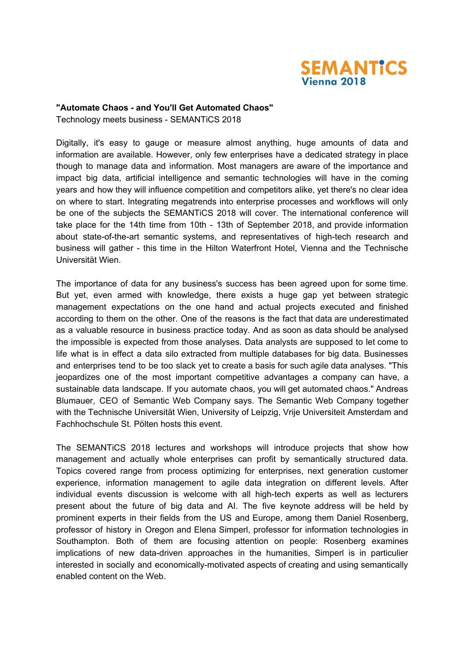

## **"Automate Chaos - and You'll Get Automated Chaos"**

Technology meets business - SEMANTiCS 2018

Digitally, it's easy to gauge or measure almost anything, huge amounts of data and information are available. However, only few enterprises have a dedicated strategy in place though to manage data and information. Most managers are aware of the importance and impact big data, artificial intelligence and semantic technologies will have in the coming years and how they will influence competition and competitors alike, yet there's no clear idea on where to start. Integrating megatrends into enterprise processes and workflows will only be one of the subjects the SEMANTiCS 2018 will cover. The international conference will take place for the 14th time from 10th - 13th of September 2018, and provide information about state-of-the-art semantic systems, and representatives of high-tech research and business will gather - this time in the Hilton Waterfront Hotel, Vienna and the Technische Universität Wien.

The importance of data for any business's success has been agreed upon for some time. But yet, even armed with knowledge, there exists a huge gap yet between strategic management expectations on the one hand and actual projects executed and finished according to them on the other. One of the reasons is the fact that data are underestimated as a valuable resource in business practice today. And as soon as data should be analysed the impossible is expected from those analyses. Data analysts are supposed to let come to life what is in effect a data silo extracted from multiple databases for big data. Businesses and enterprises tend to be too slack yet to create a basis for such agile data analyses. "This jeopardizes one of the most important competitive advantages a company can have, a sustainable data landscape. If you automate chaos, you will get automated chaos." Andreas Blumauer, CEO of Semantic Web Company says. The Semantic Web Company together with the Technische Universität Wien, University of Leipzig, Vrije Universiteit Amsterdam and Fachhochschule St. Pölten hosts this event.

The SEMANTiCS 2018 lectures and workshops will introduce projects that show how management and actually whole enterprises can profit by semantically structured data. Topics covered range from process optimizing for enterprises, next generation customer experience, information management to agile data integration on different levels. After individual events discussion is welcome with all high-tech experts as well as lecturers present about the future of big data and AI. The five keynote address will be held by prominent experts in their fields from the US and Europe, among them Daniel Rosenberg, professor of history in Oregon and Elena Simperl, professor for information technologies in Southampton. Both of them are focusing attention on people: Rosenberg examines implications of new data-driven approaches in the humanities, Simperl is in particulier interested in socially and economically-motivated aspects of creating and using semantically enabled content on the Web.